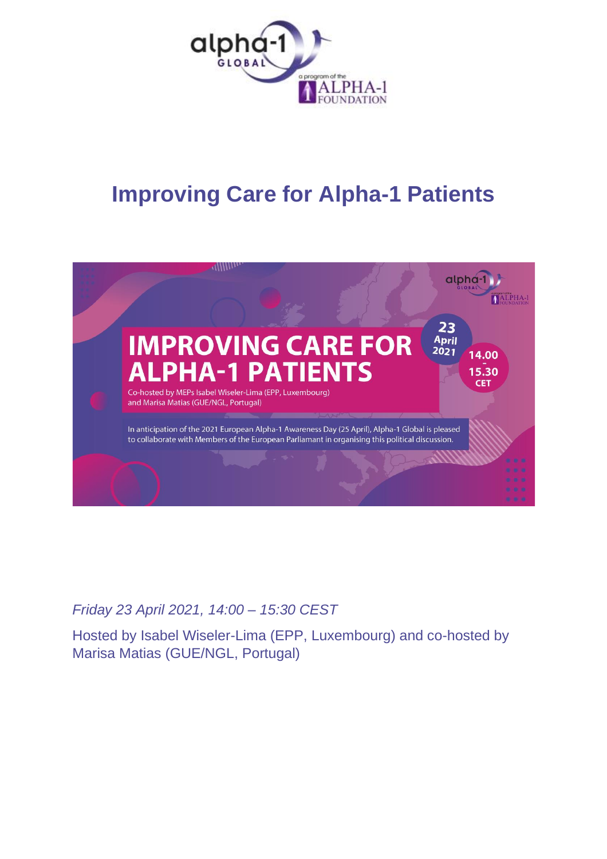

# **Improving Care for Alpha-1 Patients**



## *Friday 23 April 2021, 14:00 – 15:30 CEST*

Hosted by Isabel Wiseler-Lima (EPP, Luxembourg) and co-hosted by Marisa Matias (GUE/NGL, Portugal)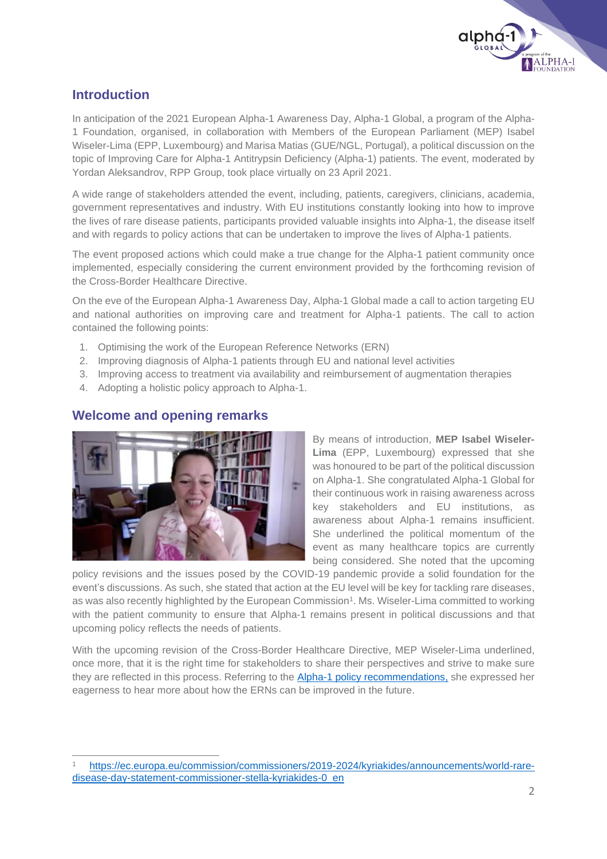

## **Introduction**

In anticipation of the 2021 European Alpha-1 Awareness Day, Alpha-1 Global, a program of the Alpha-1 Foundation, organised, in collaboration with Members of the European Parliament (MEP) Isabel Wiseler-Lima (EPP, Luxembourg) and Marisa Matias (GUE/NGL, Portugal), a political discussion on the topic of Improving Care for Alpha-1 Antitrypsin Deficiency (Alpha-1) patients. The event, moderated by Yordan Aleksandrov, RPP Group, took place virtually on 23 April 2021.

A wide range of stakeholders attended the event, including, patients, caregivers, clinicians, academia, government representatives and industry. With EU institutions constantly looking into how to improve the lives of rare disease patients, participants provided valuable insights into Alpha-1, the disease itself and with regards to policy actions that can be undertaken to improve the lives of Alpha-1 patients.

The event proposed actions which could make a true change for the Alpha-1 patient community once implemented, especially considering the current environment provided by the forthcoming revision of the Cross-Border Healthcare Directive.

On the eve of the European Alpha-1 Awareness Day, Alpha-1 Global made a call to action targeting EU and national authorities on improving care and treatment for Alpha-1 patients. The call to action contained the following points:

- 1. Optimising the work of the European Reference Networks (ERN)
- 2. Improving diagnosis of Alpha-1 patients through EU and national level activities
- 3. Improving access to treatment via availability and reimbursement of augmentation therapies
- 4. Adopting a holistic policy approach to Alpha-1.

## **Welcome and opening remarks**



By means of introduction, **MEP Isabel Wiseler-Lima** (EPP, Luxembourg) expressed that she was honoured to be part of the political discussion on Alpha-1. She congratulated Alpha-1 Global for their continuous work in raising awareness across key stakeholders and EU institutions, as awareness about Alpha-1 remains insufficient. She underlined the political momentum of the event as many healthcare topics are currently being considered. She noted that the upcoming

policy revisions and the issues posed by the COVID-19 pandemic provide a solid foundation for the event's discussions. As such, she stated that action at the EU level will be key for tackling rare diseases, as was also recently highlighted by the European Commission<sup>1</sup>. Ms. Wiseler-Lima committed to working with the patient community to ensure that Alpha-1 remains present in political discussions and that upcoming policy reflects the needs of patients.

With the upcoming revision of the Cross-Border Healthcare Directive, MEP Wiseler-Lima underlined, once more, that it is the right time for stakeholders to share their perspectives and strive to make sure they are reflected in this process. Referring to the [Alpha-1 policy recommendations,](http://www.alpha-1global.org/wp-content/uploads/2017/03/RPP-E-01-17_Alpha-1-Booklet_14-03-17.pdf) she expressed her eagerness to hear more about how the ERNs can be improved in the future.

<sup>1</sup> [https://ec.europa.eu/commission/commissioners/2019-2024/kyriakides/announcements/world-rare](https://ec.europa.eu/commission/commissioners/2019-2024/kyriakides/announcements/world-rare-disease-day-statement-commissioner-stella-kyriakides-0_en)[disease-day-statement-commissioner-stella-kyriakides-0\\_en](https://ec.europa.eu/commission/commissioners/2019-2024/kyriakides/announcements/world-rare-disease-day-statement-commissioner-stella-kyriakides-0_en)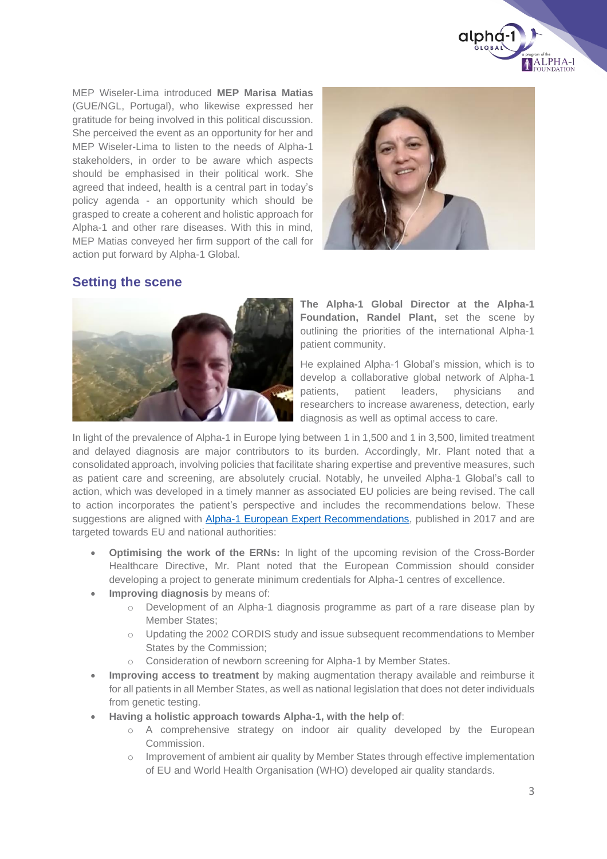

MEP Wiseler-Lima introduced **MEP Marisa Matias** (GUE/NGL, Portugal), who likewise expressed her gratitude for being involved in this political discussion. She perceived the event as an opportunity for her and MEP Wiseler-Lima to listen to the needs of Alpha-1 stakeholders, in order to be aware which aspects should be emphasised in their political work. She agreed that indeed, health is a central part in today's policy agenda - an opportunity which should be grasped to create a coherent and holistic approach for Alpha-1 and other rare diseases. With this in mind, MEP Matias conveyed her firm support of the call for action put forward by Alpha-1 Global.



#### **Setting the scene**



**The Alpha-1 Global Director at the Alpha-1 Foundation, Randel Plant,** set the scene by outlining the priorities of the international Alpha-1 patient community.

He explained Alpha-1 Global's mission, which is to develop a collaborative global network of Alpha-1 patients, patient leaders, physicians and researchers to increase awareness, detection, early diagnosis as well as optimal access to care.

In light of the prevalence of Alpha-1 in Europe lying between 1 in 1,500 and 1 in 3,500, limited treatment and delayed diagnosis are major contributors to its burden. Accordingly, Mr. Plant noted that a consolidated approach, involving policies that facilitate sharing expertise and preventive measures, such as patient care and screening, are absolutely crucial. Notably, he unveiled Alpha-1 Global's call to action, which was developed in a timely manner as associated EU policies are being revised. The call to action incorporates the patient's perspective and includes the recommendations below. These suggestions are aligned with **Alpha-1 European Expert Recommendations**, published in 2017 and are targeted towards EU and national authorities:

- **Optimising the work of the ERNs:** In light of the upcoming revision of the Cross-Border Healthcare Directive, Mr. Plant noted that the European Commission should consider developing a project to generate minimum credentials for Alpha-1 centres of excellence.
- **Improving diagnosis** by means of:
	- o Development of an Alpha-1 diagnosis programme as part of a rare disease plan by Member States;
	- o Updating the 2002 CORDIS study and issue subsequent recommendations to Member States by the Commission;
	- Consideration of newborn screening for Alpha-1 by Member States.
- **Improving access to treatment** by making augmentation therapy available and reimburse it for all patients in all Member States, as well as national legislation that does not deter individuals from genetic testing.
- **Having a holistic approach towards Alpha-1, with the help of**:
	- o A comprehensive strategy on indoor air quality developed by the European Commission.
	- o Improvement of ambient air quality by Member States through effective implementation of EU and World Health Organisation (WHO) developed air quality standards.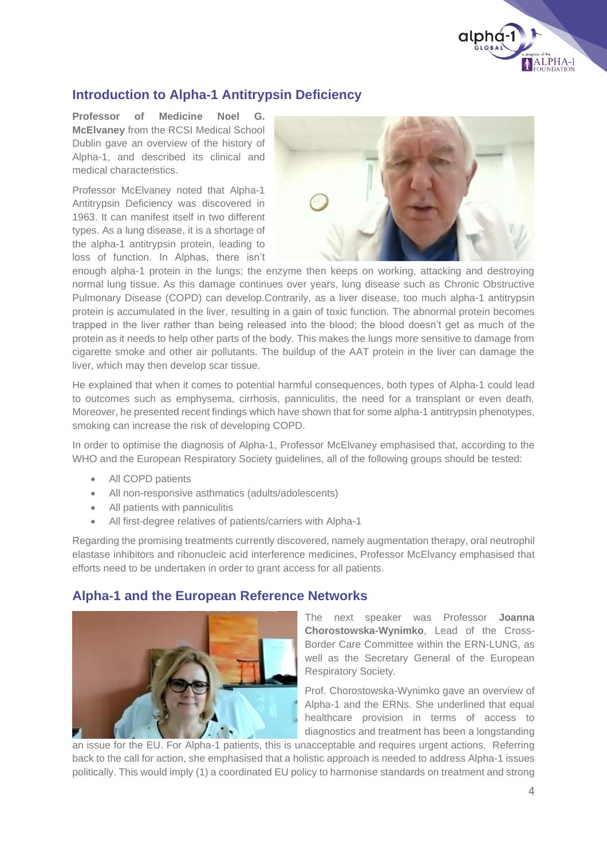

## **Introduction to Alpha-1 Antitrypsin Deficiency**

**Professor of Medicine Noel G. McElvaney** from the RCSI Medical School Dublin gave an overview of the history of Alpha-1, and described its clinical and medical characteristics.

Professor McElvaney noted that Alpha-1 Antitrypsin Deficiency was discovered in 1963. It can manifest itself in two different types. As a lung disease, it is a shortage of the alpha-1 antitrypsin protein, leading to loss of function. In Alphas, there isn't



enough alpha-1 protein in the lungs; the enzyme then keeps on working, attacking and destroying normal lung tissue. As this damage continues over years, lung disease such as Chronic Obstructive Pulmonary Disease (COPD) can develop.Contrarily, as a liver disease, too much alpha-1 antitrypsin protein is accumulated in the liver, resulting in a gain of toxic function. The abnormal protein becomes trapped in the liver rather than being released into the blood; the blood doesn't get as much of the protein as it needs to help other parts of the body. This makes the lungs more sensitive to damage from cigarette smoke and other air pollutants. The buildup of the AAT protein in the liver can damage the liver, which may then develop scar tissue.

He explained that when it comes to potential harmful consequences, both types of Alpha-1 could lead to outcomes such as emphysema, cirrhosis, panniculitis, the need for a transplant or even death. Moreover, he presented recent findings which have shown that for some alpha-1 antitrypsin phenotypes, smoking can increase the risk of developing COPD.

In order to optimise the diagnosis of Alpha-1, Professor McElvaney emphasised that, according to the WHO and the European Respiratory Society guidelines, all of the following groups should be tested:

- All COPD patients
- All non-responsive asthmatics (adults/adolescents)
- All patients with panniculitis
- All first-degree relatives of patients/carriers with Alpha-1

Regarding the promising treatments currently discovered, namely augmentation therapy, oral neutrophil elastase inhibitors and ribonucleic acid interference medicines, Professor McElvancy emphasised that efforts need to be undertaken in order to grant access for all patients.

#### **Alpha-1 and the European Reference Networks**



The next speaker was Professor **Joanna Chorostowska-Wynimko**, Lead of the Cross-Border Care Committee within the ERN-LUNG, as well as the Secretary General of the European Respiratory Society.

Prof. Chorostowska-Wynimko gave an overview of Alpha-1 and the ERNs. She underlined that equal healthcare provision in terms of access to diagnostics and treatment has been a longstanding

an issue for the EU. For Alpha-1 patients, this is unacceptable and requires urgent actions. Referring back to the call for action, she emphasised that a holistic approach is needed to address Alpha-1 issues politically. This would imply (1) a coordinated EU policy to harmonise standards on treatment and strong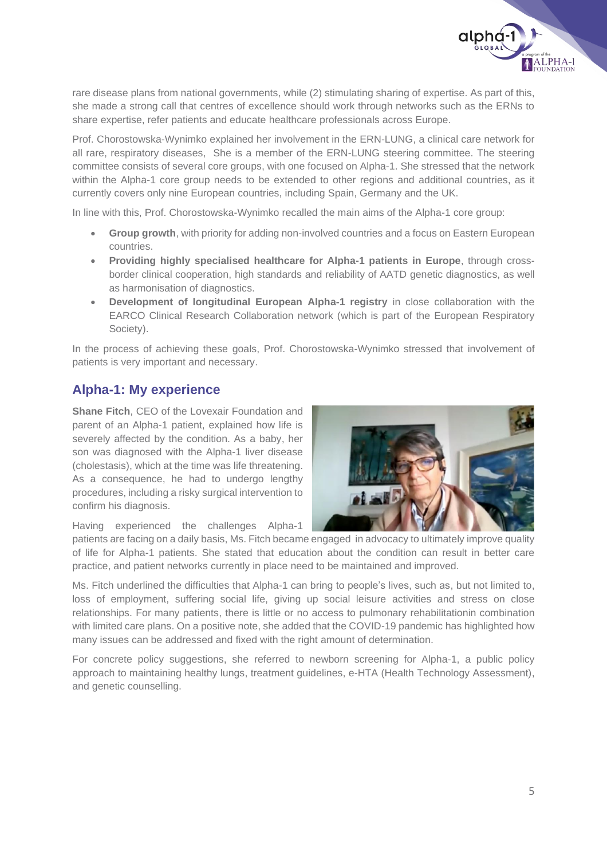

rare disease plans from national governments, while (2) stimulating sharing of expertise. As part of this, she made a strong call that centres of excellence should work through networks such as the ERNs to share expertise, refer patients and educate healthcare professionals across Europe.

Prof. Chorostowska-Wynimko explained her involvement in the ERN-LUNG, a clinical care network for all rare, respiratory diseases, She is a member of the ERN-LUNG steering committee. The steering committee consists of several core groups, with one focused on Alpha-1. She stressed that the network within the Alpha-1 core group needs to be extended to other regions and additional countries, as it currently covers only nine European countries, including Spain, Germany and the UK.

In line with this, Prof. Chorostowska-Wynimko recalled the main aims of the Alpha-1 core group:

- **Group growth**, with priority for adding non-involved countries and a focus on Eastern European countries.
- **Providing highly specialised healthcare for Alpha-1 patients in Europe**, through crossborder clinical cooperation, high standards and reliability of AATD genetic diagnostics, as well as harmonisation of diagnostics.
- **Development of longitudinal European Alpha-1 registry** in close collaboration with the EARCO Clinical Research Collaboration network (which is part of the European Respiratory Society).

In the process of achieving these goals, Prof. Chorostowska-Wynimko stressed that involvement of patients is very important and necessary.

#### **Alpha-1: My experience**

**Shane Fitch**, CEO of the Lovexair Foundation and parent of an Alpha-1 patient, explained how life is severely affected by the condition. As a baby, her son was diagnosed with the Alpha-1 liver disease (cholestasis), which at the time was life threatening. As a consequence, he had to undergo lengthy procedures, including a risky surgical intervention to confirm his diagnosis.



Having experienced the challenges Alpha-1

patients are facing on a daily basis, Ms. Fitch became engaged in advocacy to ultimately improve quality of life for Alpha-1 patients. She stated that education about the condition can result in better care practice, and patient networks currently in place need to be maintained and improved.

Ms. Fitch underlined the difficulties that Alpha-1 can bring to people's lives, such as, but not limited to, loss of employment, suffering social life, giving up social leisure activities and stress on close relationships. For many patients, there is little or no access to pulmonary rehabilitationin combination with limited care plans. On a positive note, she added that the COVID-19 pandemic has highlighted how many issues can be addressed and fixed with the right amount of determination.

For concrete policy suggestions, she referred to newborn screening for Alpha-1, a public policy approach to maintaining healthy lungs, treatment guidelines, e-HTA (Health Technology Assessment), and genetic counselling.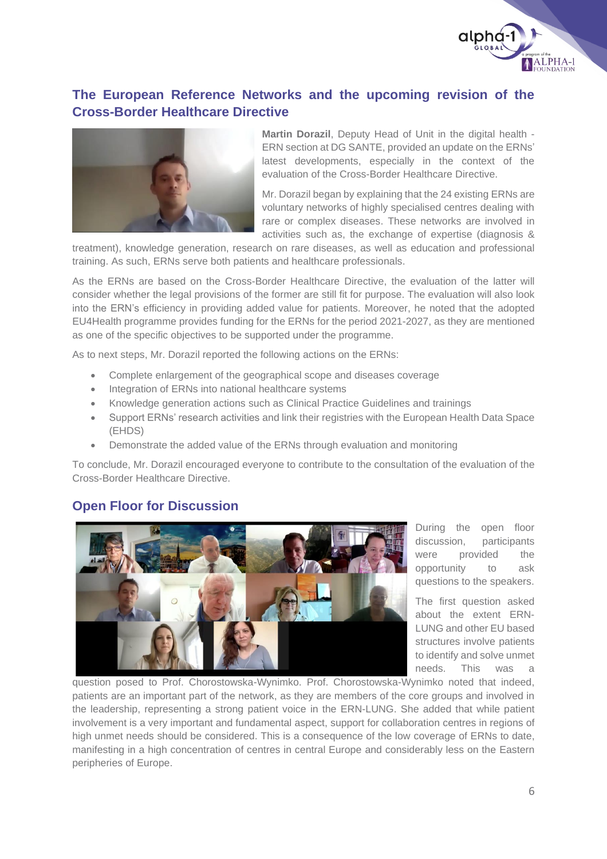

## **The European Reference Networks and the upcoming revision of the Cross-Border Healthcare Directive**



**Martin Dorazil**, Deputy Head of Unit in the digital health - ERN section at DG SANTE, provided an update on the ERNs' latest developments, especially in the context of the evaluation of the Cross-Border Healthcare Directive.

Mr. Dorazil began by explaining that the 24 existing ERNs are voluntary networks of highly specialised centres dealing with rare or complex diseases. These networks are involved in activities such as, the exchange of expertise (diagnosis &

treatment), knowledge generation, research on rare diseases, as well as education and professional training. As such, ERNs serve both patients and healthcare professionals.

As the ERNs are based on the Cross-Border Healthcare Directive, the evaluation of the latter will consider whether the legal provisions of the former are still fit for purpose. The evaluation will also look into the ERN's efficiency in providing added value for patients. Moreover, he noted that the adopted EU4Health programme provides funding for the ERNs for the period 2021-2027, as they are mentioned as one of the specific objectives to be supported under the programme.

As to next steps, Mr. Dorazil reported the following actions on the ERNs:

- Complete enlargement of the geographical scope and diseases coverage
- Integration of ERNs into national healthcare systems
- Knowledge generation actions such as Clinical Practice Guidelines and trainings
- Support ERNs' research activities and link their registries with the European Health Data Space (EHDS)
- Demonstrate the added value of the ERNs through evaluation and monitoring

To conclude, Mr. Dorazil encouraged everyone to contribute to the consultation of the evaluation of the Cross-Border Healthcare Directive.

#### **Open Floor for Discussion**



During the open floor discussion, participants were provided the opportunity to ask questions to the speakers.

The first question asked about the extent ERN-LUNG and other EU based structures involve patients to identify and solve unmet needs. This was

question posed to Prof. Chorostowska-Wynimko. Prof. Chorostowska-Wynimko noted that indeed, patients are an important part of the network, as they are members of the core groups and involved in the leadership, representing a strong patient voice in the ERN-LUNG. She added that while patient involvement is a very important and fundamental aspect, support for collaboration centres in regions of high unmet needs should be considered. This is a consequence of the low coverage of ERNs to date, manifesting in a high concentration of centres in central Europe and considerably less on the Eastern peripheries of Europe.